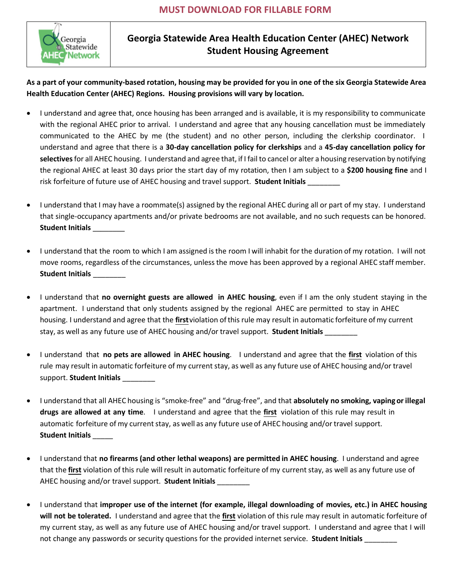

### **Georgia Statewide Area Health Education Center (AHEC) Network Student Housing Agreement**

#### **As a part of your community-based rotation, housing may be provided for you in one of the six Georgia Statewide Area Health Education Center (AHEC) Regions. Housing provisions will vary by location.**

- I understand and agree that, once housing has been arranged and is available, it is my responsibility to communicate with the regional AHEC prior to arrival. I understand and agree that any housing cancellation must be immediately communicated to the AHEC by me (the student) and no other person, including the clerkship coordinator. I understand and agree that there is a **30-day cancellation policy for clerkships** and a **45-day cancellation policy for selectives**for all AHEC housing. I understand and agree that, if I fail to cancel or alter a housing reservation by notifying the regional AHEC at least 30 days prior the start day of my rotation, then I am subject to a **\$200 housing fine** and I risk forfeiture of future use of AHEC housing and travel support. **Student Initials** \_\_\_\_\_\_\_\_
- I understand that I may have a roommate(s) assigned by the regional AHEC during all or part of my stay. I understand that single-occupancy apartments and/or private bedrooms are not available, and no such requests can be honored. **Student Initials** \_\_\_\_\_\_\_\_
- I understand that the room to which I am assigned is the room I will inhabit for the duration of my rotation. I will not move rooms, regardless of the circumstances, unless the move has been approved by a regional AHEC staff member. **Student Initials** \_\_\_\_\_\_\_\_
- I understand that **no overnight guests are allowed in AHEC housing**, even if I am the only student staying in the apartment. I understand that only students assigned by the regional AHEC are permitted to stay in AHEC housing. I understand and agree that the **first**violation of this rule may result in automatic forfeiture of my current stay, as well as any future use of AHEC housing and/or travel support. **Student Initials** \_\_\_\_\_\_\_\_
- I understand that **no pets are allowed in AHEC housing**. I understand and agree that the **first** violation of this rule may result in automatic forfeiture of my current stay, as well as any future use of AHEC housing and/or travel support. **Student Initials** \_\_\_\_\_\_\_\_
- I understand that all AHEC housing is "smoke-free" and "drug-free", and that **absolutely no smoking, vapingorillegal drugs are allowed at any time**. I understand and agree that the **first** violation of this rule may result in automatic forfeiture of my current stay, as well as any future use of AHEC housing and/or travel support. **Student Initials** \_\_\_\_\_
- I understand that **no firearms (and other lethal weapons) are permitted in AHEC housing**. I understand and agree that the **first** violation of this rule will result in automatic forfeiture of my current stay, as well as any future use of AHEC housing and/or travel support. **Student Initials** \_\_\_\_\_\_\_\_
- I understand that **improper use of the internet (for example, illegal downloading of movies, etc.) in AHEC housing will not be tolerated.** I understand and agree that the **first** violation of this rule may result in automatic forfeiture of my current stay, as well as any future use of AHEC housing and/or travel support. I understand and agree that I will not change any passwords or security questions for the provided internet service. **Student Initials** \_\_\_\_\_\_\_\_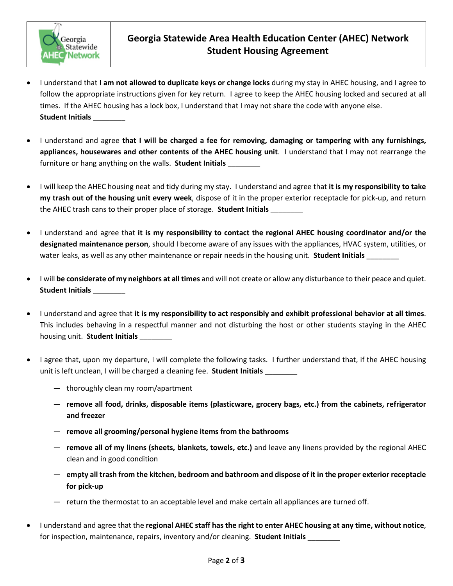

# **Georgia Statewide Area Health Education Center (AHEC) Network Student Housing Agreement**

- I understand that **I am not allowed to duplicate keys or change locks** during my stay in AHEC housing, and I agree to follow the appropriate instructions given for key return. I agree to keep the AHEC housing locked and secured at all times. If the AHEC housing has a lock box, I understand that I may not share the code with anyone else. **Student Initials** \_\_\_\_\_\_\_\_
- I understand and agree **that I will be charged a fee for removing, damaging or tampering with any furnishings, appliances, housewares and other contents of the AHEC housing unit**. I understand that I may not rearrange the furniture or hang anything on the walls. **Student Initials** \_\_\_\_\_\_\_\_
- I will keep the AHEC housing neat and tidy during my stay. I understand and agree that **it is my responsibility to take my trash out of the housing unit every week**, dispose of it in the proper exterior receptacle for pick-up, and return the AHEC trash cans to their proper place of storage. **Student Initials** \_\_\_\_\_\_\_\_
- I understand and agree that **it is my responsibility to contact the regional AHEC housing coordinator and/or the designated maintenance person**, should I become aware of any issues with the appliances, HVAC system, utilities, or water leaks, as well as any other maintenance or repair needs in the housing unit. **Student Initials**
- I will **be considerate of my neighbors at all times** and will not create or allow any disturbance to their peace and quiet. **Student Initials** \_\_\_\_\_\_\_\_
- I understand and agree that **it is my responsibility to act responsibly and exhibit professional behavior at all times**. This includes behaving in a respectful manner and not disturbing the host or other students staying in the AHEC housing unit. **Student Initials** \_\_\_\_\_\_\_\_
- I agree that, upon my departure, I will complete the following tasks. I further understand that, if the AHEC housing unit is left unclean, I will be charged a cleaning fee. **Student Initials** \_\_\_\_\_\_\_\_
	- thoroughly clean my room/apartment
	- **remove all food, drinks, disposable items (plasticware, grocery bags, etc.) from the cabinets, refrigerator and freezer**
	- **remove all grooming/personal hygiene items from the bathrooms**
	- **remove all of my linens (sheets, blankets, towels, etc.)** and leave any linens provided by the regional AHEC clean and in good condition
	- **empty all trash from the kitchen, bedroom and bathroom and dispose of it in the proper exterior receptacle for pick-up**
	- return the thermostat to an acceptable level and make certain all appliances are turned off.
- I understand and agree that the **regional AHEC staff has the right to enter AHEC housing at any time, without notice**, for inspection, maintenance, repairs, inventory and/or cleaning. **Student Initials**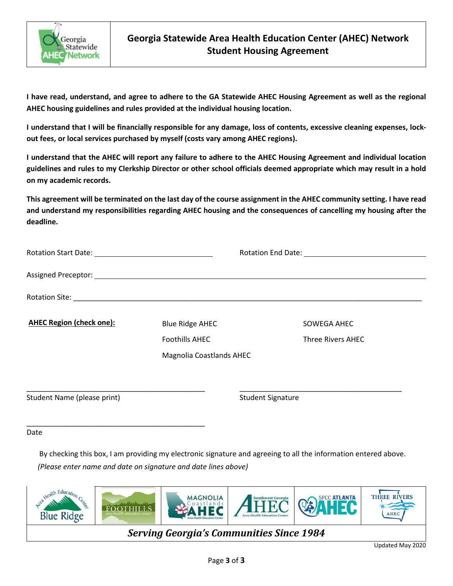

**I have read, understand, and agree to adhere to the GA Statewide AHEC Housing Agreement as well as the regional AHEC housing guidelines and rules provided at the individual housing location.**

**I understand that I will be financially responsible for any damage, loss of contents, excessive cleaning expenses, lockout fees, or local services purchased by myself (costs vary among AHEC regions).**

**I understand that the AHEC will report any failure to adhere to the AHEC Housing Agreement and individual location guidelines and rules to my Clerkship Director or other school officials deemed appropriate which may result in a hold on my academic records.**

**This agreement will be terminated on the last day of the course assignment in the AHEC community setting. I have read and understand my responsibilities regarding AHEC housing and the consequences of cancelling my housing after the deadline.**

| <b>AHEC Region (check one):</b> | <b>Blue Ridge AHEC</b>          | SOWEGA AHEC              |  |
|---------------------------------|---------------------------------|--------------------------|--|
|                                 | <b>Foothills AHEC</b>           | <b>Three Rivers AHEC</b> |  |
|                                 | <b>Magnolia Coastlands AHEC</b> |                          |  |
| Student Name (please print)     |                                 | <b>Student Signature</b> |  |
| Date                            |                                 |                          |  |

By checking this box, I am providing my electronic signature and agreeing to all the information entered above. *(Please enter name and date on signature and date lines above)*



# *Serving Georgia's Communities Since 1984*